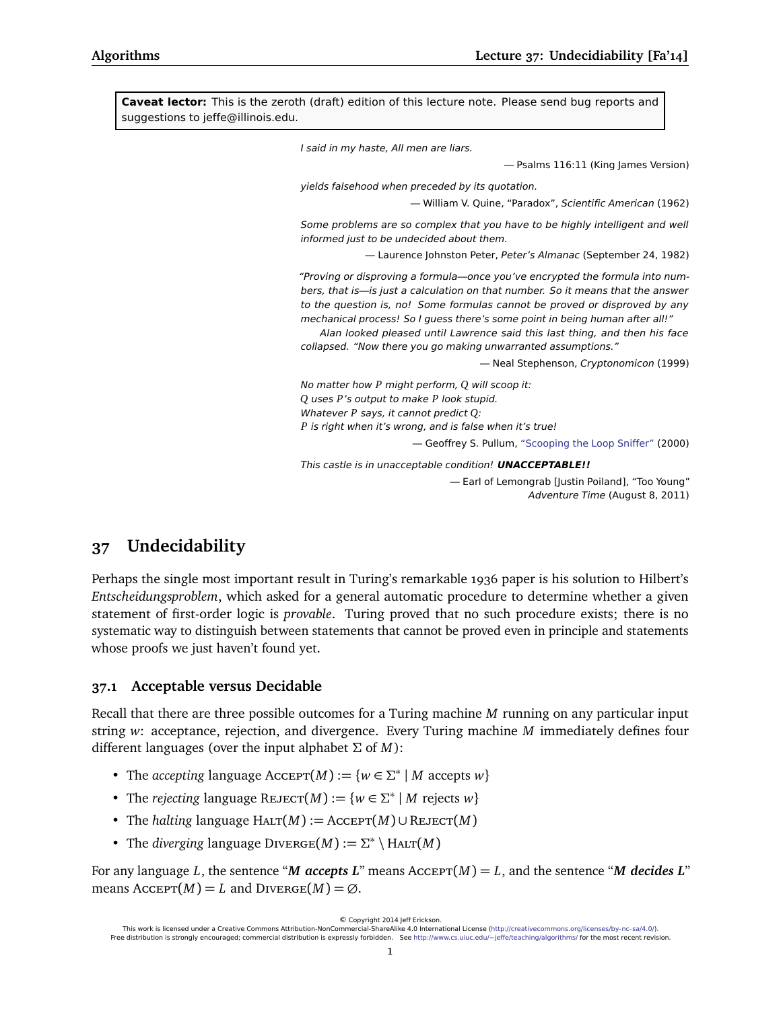**Caveat lector:** This is the zeroth (draft) edition of this lecture note. Please send bug reports and suggestions to jeffe@illinois.edu.

I said in my haste, All men are liars.

— Psalms 116:11 (King James Version)

yields falsehood when preceded by its quotation.

— William V. Quine, "Paradox", Scientific American (1962)

Some problems are so complex that you have to be highly intelligent and well informed just to be undecided about them.

— Laurence Johnston Peter, Peter's Almanac (September 24, 1982)

"Proving or disproving a formula—once you've encrypted the formula into numbers, that is—is just a calculation on that number. So it means that the answer to the question is, no! Some formulas cannot be proved or disproved by any mechanical process! So I guess there's some point in being human after all!"

Alan looked pleased until Lawrence said this last thing, and then his face collapsed. "Now there you go making unwarranted assumptions."

— Neal Stephenson, Cryptonomicon (1999)

No matter how *P* might perform, *Q* will scoop it: *Q* uses *P*'s output to make *P* look stupid. Whatever *P* says, it cannot predict *Q*: *P* is right when it's wrong, and is false when it's true!

— Geoffrey S. Pullum, ["Scooping the Loop Sniffer"](http://www.lel.ed.ac.uk/~gpullum/loopsnoop.html) (2000)

This castle is in unacceptable condition! **UNACCEPTABLE!!**

— Earl of Lemongrab [Justin Poiland], "Too Young" Adventure Time (August 8, 2011)

# **37 Undecidability**

Perhaps the single most important result in Turing's remarkable 1936 paper is his solution to Hilbert's *Entscheidungsproblem*, which asked for a general automatic procedure to determine whether a given statement of first-order logic is *provable*. Turing proved that no such procedure exists; there is no systematic way to distinguish between statements that cannot be proved even in principle and statements whose proofs we just haven't found yet.

#### **37.1 Acceptable versus Decidable**

Recall that there are three possible outcomes for a Turing machine *M* running on any particular input string *w*: acceptance, rejection, and divergence. Every Turing machine *M* immediately defines four different languages (over the input alphabet *Σ* of *M*):

- The *accepting* language  $\text{AccEPT}(M) := \{w \in \Sigma^* \mid M \text{ accepts } w\}$
- The *rejecting* language  $\text{REJECT}(M) := \{w \in \Sigma^* \mid M \text{ rejects } w\}$
- The *halting* language  $H = A \c{c} E$  $T(M) \cup R = E C(T(M))$
- The *diverging* language  $D$ IVERGE $(M) := \Sigma^* \setminus \text{HALT}(M)$

For any language L, the sentence "*M accepts* L" means  $\text{Accept}(M) = L$ , and the sentence "*M decides* L" means  $\text{AccEPT}(M) = L$  and  $\text{DIVERGE}(M) = \emptyset$ .

© Copyright 2014 Jeff Erickson.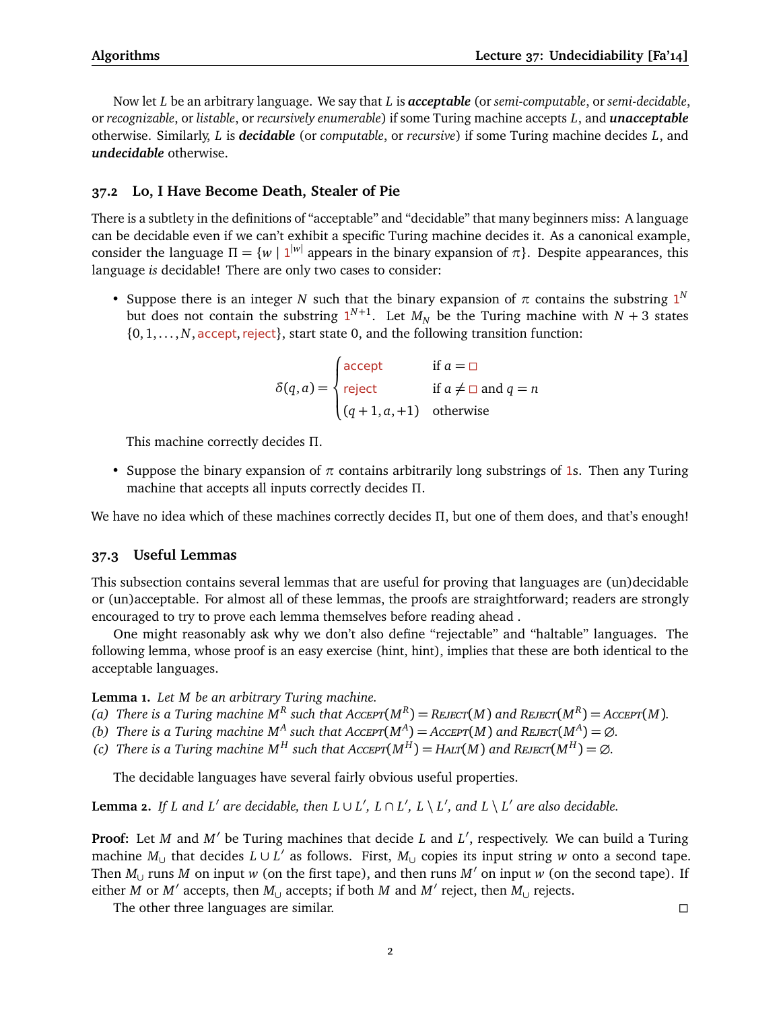Now let *L* be an arbitrary language. We say that *L* is *acceptable* (or *semi-computable*, or *semi-decidable*, or *recognizable*, or *listable*, or *recursively enumerable*) if some Turing machine accepts *L*, and *unacceptable* otherwise. Similarly, *L* is *decidable* (or *computable*, or *recursive*) if some Turing machine decides *L*, and *undecidable* otherwise.

### **37.2 Lo, I Have Become Death, Stealer of Pie**

There is a subtlety in the definitions of "acceptable" and "decidable" that many beginners miss: A language can be decidable even if we can't exhibit a specific Turing machine decides it. As a canonical example, consider the language  $\Pi = \{w \mid \mathbf{1}^{|w|}$  appears in the binary expansion of  $\pi\}$ . Despite appearances, this language *is* decidable! There are only two cases to consider:

• Suppose there is an integer *N* such that the binary expansion of  $\pi$  contains the substring  $1^N$ but does not contain the substring  $1^{N+1}$ . Let  $M_N$  be the Turing machine with  $N+3$  states  ${0, 1, \ldots, N}$ , accept, reject}, start state 0, and the following transition function:

$$
\delta(q, a) = \begin{cases}\n\text{accept} & \text{if } a = \Box \\
\text{reject} & \text{if } a \neq \Box \text{ and } q = n \\
(q + 1, a, +1) & \text{otherwise}\n\end{cases}
$$

This machine correctly decides *Π*.

• Suppose the binary expansion of  $\pi$  contains arbitrarily long substrings of 1s. Then any Turing machine that accepts all inputs correctly decides *Π*.

We have no idea which of these machines correctly decides *Π*, but one of them does, and that's enough!

#### **37.3 Useful Lemmas**

This subsection contains several lemmas that are useful for proving that languages are (un)decidable or (un)acceptable. For almost all of these lemmas, the proofs are straightforward; readers are strongly encouraged to try to prove each lemma themselves before reading ahead .

One might reasonably ask why we don't also define "rejectable" and "haltable" languages. The following lemma, whose proof is an easy exercise (hint, hint), implies that these are both identical to the acceptable languages.

**Lemma 1.** *Let M be an arbitrary Turing machine.*

- *(a) There is a Turing machine*  $M^R$  *such that*  $ACCEPT(M^R) = REJECT(M)$  *and*  $REJECT(M^R) = AccEPT(M)$ *.*
- *(b) There is a Turing machine*  $M^A$  *such that*  $ACCEPT(M^A) = AccEPT(M)$  *and*  $REJECT(M^A) = \emptyset$ *.*
- *(c) There is a Turing machine*  $M^H$  *such that*  $AccEPT(M^H) = HAT(M)$  *and*  $REJECT(M^H) = \emptyset$ *.*

The decidable languages have several fairly obvious useful properties.

**Lemma 2.** If L and L' are decidable, then  $L \cup L'$ ,  $L \cap L'$ ,  $L \setminus L'$ , and  $L \setminus L'$  are also decidable.

**Proof:** Let *M* and *M'* be Turing machines that decide *L* and *L'*, respectively. We can build a Turing machine  $M_{\cup}$  that decides  $L \cup L'$  as follows. First,  $M_{\cup}$  copies its input string *w* onto a second tape. Then  $M_{\cup}$  runs  $M$  on input  $w$  (on the first tape), and then runs  $M'$  on input  $w$  (on the second tape). If either *M* or *M'* accepts, then  $M_{\cup}$  accepts; if both *M* and *M'* reject, then  $M_{\cup}$  rejects.

The other three languages are similar.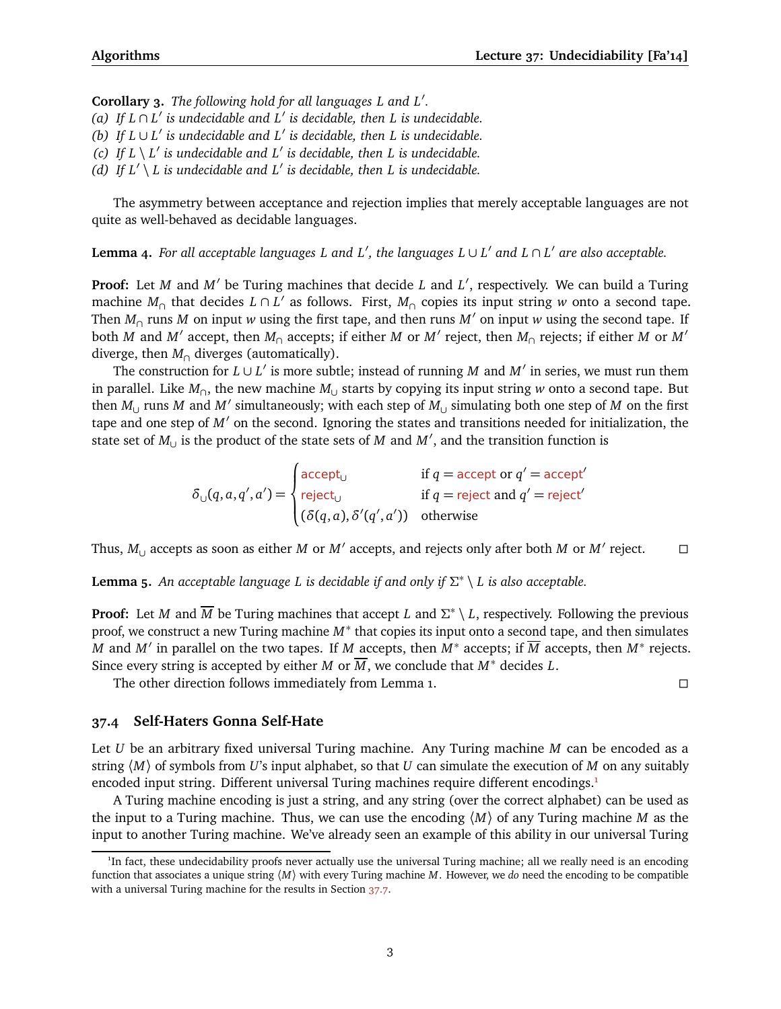**Corollary 3.** *The following hold for all languages L and L* 0 *.*

- (a) If  $L \cap L'$  is undecidable and  $L'$  is decidable, then  $L$  is undecidable.
- $(b)$  *If*  $L ∪ L'$  *is undecidable and*  $L'$  *is decidable, then*  $L$  *is undecidable.*
- *(c)* If  $L \setminus L'$  is undecidable and  $L'$  is decidable, then  $L$  is undecidable.
- (d) If  $L' \setminus L$  is undecidable and  $L'$  is decidable, then  $L$  is undecidable.

The asymmetry between acceptance and rejection implies that merely acceptable languages are not quite as well-behaved as decidable languages.

**Lemma 4.** For all acceptable languages *L* and *L'*, the languages *L*∪*L'* and *L*∩*L'* are also acceptable.

**Proof:** Let *M* and *M'* be Turing machines that decide *L* and *L'*, respectively. We can build a Turing machine  $M_{\cap}$  that decides  $L \cap L'$  as follows. First,  $M_{\cap}$  copies its input string *w* onto a second tape. Then  $M_{\Omega}$  runs  $M$  on input  $w$  using the first tape, and then runs  $M'$  on input  $w$  using the second tape. If both *M* and *M'* accept, then *M*<sub>∩</sub> accepts; if either *M* or *M'* reject, then *M*<sub>∩</sub> rejects; if either *M* or *M'* diverge, then  $M_{\Omega}$  diverges (automatically).

The construction for  $L \cup L'$  is more subtle; instead of running *M* and *M'* in series, we must run them in parallel. Like *M*∩, the new machine *M*<sup>∪</sup> starts by copying its input string *w* onto a second tape. But then  $M_{\cup}$  runs  $M$  and  $M'$  simultaneously; with each step of  $M_{\cup}$  simulating both one step of  $M$  on the first tape and one step of  $M'$  on the second. Ignoring the states and transitions needed for initialization, the state set of  $M_{\cup}$  is the product of the state sets of *M* and *M'*, and the transition function is

> $\delta_{\cup}(q, a, q', a') =$  $\sqrt{ }$  $\int$  $\overline{\mathcal{L}}$  $\operatorname{accept}_{\cup}$  if  $q = \operatorname{accept}$  or  $q' = \operatorname{accept}'$  $\text{reject}_{\cup}$  if  $q = \text{reject} \text{ and } q' = \text{reject}'$  $(\delta(q, a), \delta'(q', a'))$  otherwise

Thus,  $M_{\cup}$  accepts as soon as either *M* or *M'* accepts, and rejects only after both *M* or *M'* reject. □

**Lemma 5.** *An acceptable language L is decidable if and only if Σ* ∗ \ *L is also acceptable.*

**Proof:** Let *M* and *M* be Turing machines that accept *L* and *Σ* ∗ \ *L*, respectively. Following the previous proof, we construct a new Turing machine *M*<sup>∗</sup> that copies its input onto a second tape, and then simulates *M* and *M'* in parallel on the two tapes. If *M* accepts, then *M*<sup>∗</sup> accepts; if *M* accepts, then *M*<sup>∗</sup> rejects. Since every string is accepted by either *M* or  $\overline{M}$ , we conclude that  $M^*$  decides *L*.

The other direction follows immediately from Lemma 1.

#### **37.4 Self-Haters Gonna Self-Hate**

Let *U* be an arbitrary fixed universal Turing machine. Any Turing machine *M* can be encoded as a string 〈*M*〉 of symbols from *U*'s input alphabet, so that *U* can simulate the execution of *M* on any suitably encoded input string. Different universal Turing machines require different encodings.<sup>[1](#page-2-0)</sup>

A Turing machine encoding is just a string, and any string (over the correct alphabet) can be used as the input to a Turing machine. Thus, we can use the encoding 〈*M*〉 of any Turing machine *M* as the input to another Turing machine. We've already seen an example of this ability in our universal Turing

<span id="page-2-0"></span><sup>1</sup> In fact, these undecidability proofs never actually use the universal Turing machine; all we really need is an encoding function that associates a unique string 〈*M*〉 with every Turing machine *M*. However, we *do* need the encoding to be compatible with a universal Turing machine for the results in Section [37.7.](#page-5-0)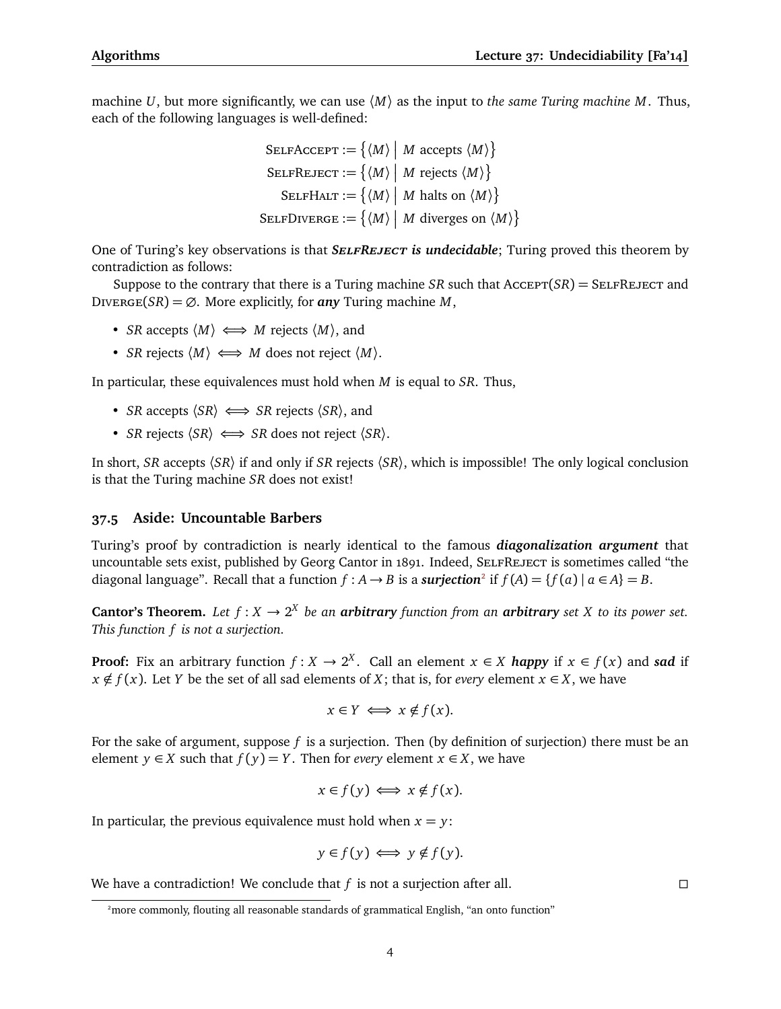machine *U*, but more significantly, we can use  $\langle M \rangle$  as the input to *the same Turing machine M*. Thus, each of the following languages is well-defined:

> $\text{SELFACCEPT} := \{ \langle M \rangle \mid M \text{ accepts } \langle M \rangle \}$  $\text{SELFREJECT} := \{ \langle M \rangle \mid M \text{ rejects } \langle M \rangle \}$  $\text{SELFHALT} := \big\{ \langle M \rangle \bigm| M \text{ halts on } \langle M \rangle \big\}$  $\text{SELFDIVERGE} := \{ \langle M \rangle \mid M \text{ diverges on } \langle M \rangle \}$

One of Turing's key observations is that *SELFREJECT* is undecidable; Turing proved this theorem by contradiction as follows:

Suppose to the contrary that there is a Turing machine *SR* such that  $ACCEPT(SR) = SELFREJECT$  and DIVERGE(*SR*) =  $\emptyset$ . More explicitly, for **any** Turing machine *M*,

- *SR* accepts  $\langle M \rangle \iff M$  rejects  $\langle M \rangle$ , and
- *SR* rejects  $\langle M \rangle \iff M$  does not reject  $\langle M \rangle$ .

In particular, these equivalences must hold when *M* is equal to *SR*. Thus,

- *SR* accepts 〈*SR*〉 ⇐⇒ *SR* rejects 〈*SR*〉, and
- *SR* rejects  $\langle SR \rangle \iff SR$  does not reject  $\langle SR \rangle$ .

In short, *SR* accepts 〈*SR*〉 if and only if *SR* rejects 〈*SR*〉, which is impossible! The only logical conclusion is that the Turing machine *SR* does not exist!

#### **37.5 Aside: Uncountable Barbers**

Turing's proof by contradiction is nearly identical to the famous *diagonalization argument* that uncountable sets exist, published by Georg Cantor in 1891. Indeed, SELFREJECT is sometimes called "the diagonal language". Recall that a function  $f : A \to B$  is a *surjection*<sup>[2](#page-3-0)</sup> if  $f(A) = \{f(a) | a \in A\} = B$ .

**Cantor's Theorem.** Let  $f: X \to 2^X$  be an **arbitrary** function from an **arbitrary** set *X* to its power set. *This function f is not a surjection.*

**Proof:** Fix an arbitrary function  $f: X \to 2^X$ . Call an element  $x \in X$  *happy* if  $x \in f(x)$  and *sad* if *x* ∉ *f* (*x*). Let *Y* be the set of all sad elements of *X*; that is, for *every* element *x* ∈ *X*, we have

$$
x \in Y \iff x \notin f(x).
$$

For the sake of argument, suppose *f* is a surjection. Then (by definition of surjection) there must be an element *y*  $\in$  *X* such that *f* (*y*) = *Y*. Then for *every* element *x*  $\in$  *X*, we have

$$
x \in f(y) \iff x \notin f(x).
$$

In particular, the previous equivalence must hold when  $x = y$ :

$$
y \in f(y) \iff y \notin f(y).
$$

We have a contradiction! We conclude that *f* is not a surjection after all.  $\square$ 

<span id="page-3-0"></span><sup>&</sup>lt;sup>2</sup>more commonly, flouting all reasonable standards of grammatical English, "an onto function"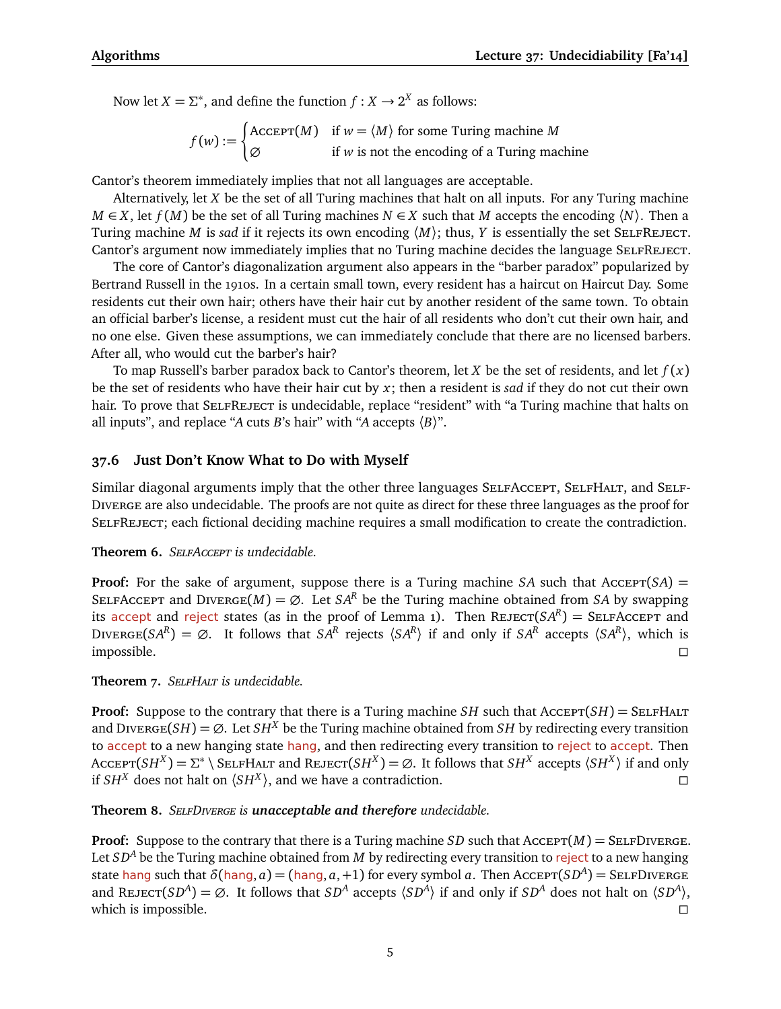Now let *X* =  $\Sigma^*$ , and define the function *f* : *X*  $\rightarrow$  2<sup>*X*</sup> as follows:

$$
f(w) := \begin{cases} \text{Accept}(M) & \text{if } w = \langle M \rangle \text{ for some Turing machine } M \\ \varnothing & \text{if } w \text{ is not the encoding of a Turing machine} \end{cases}
$$

Cantor's theorem immediately implies that not all languages are acceptable.

Alternatively, let *X* be the set of all Turing machines that halt on all inputs. For any Turing machine *M* ∈ *X*, let *f* (*M*) be the set of all Turing machines *N* ∈ *X* such that *M* accepts the encoding  $\langle N \rangle$ . Then a Turing machine *M* is sad if it rejects its own encoding  $\langle M \rangle$ ; thus, *Y* is essentially the set SELFREJECT. Cantor's argument now immediately implies that no Turing machine decides the language SELFREJECT.

The core of Cantor's diagonalization argument also appears in the "barber paradox" popularized by Bertrand Russell in the 1910s. In a certain small town, every resident has a haircut on Haircut Day. Some residents cut their own hair; others have their hair cut by another resident of the same town. To obtain an official barber's license, a resident must cut the hair of all residents who don't cut their own hair, and no one else. Given these assumptions, we can immediately conclude that there are no licensed barbers. After all, who would cut the barber's hair?

To map Russell's barber paradox back to Cantor's theorem, let *X* be the set of residents, and let *f* (*x*) be the set of residents who have their hair cut by *x*; then a resident is *sad* if they do not cut their own hair. To prove that SELFREJECT is undecidable, replace "resident" with "a Turing machine that halts on all inputs", and replace "*A* cuts *B*'s hair" with "*A* accepts 〈*B*〉".

#### **37.6 Just Don't Know What to Do with Myself**

Similar diagonal arguments imply that the other three languages SELFACCEPT, SELFHALT, and SELF-Diverge are also undecidable. The proofs are not quite as direct for these three languages as the proof for SELFREJECT; each fictional deciding machine requires a small modification to create the contradiction.

#### **Theorem 6.** *SelfAccept is undecidable.*

**Proof:** For the sake of argument, suppose there is a Turing machine *SA* such that  $\text{AccEPT}(SA)$  = SELFACCEPT and DIVERGE(*M*) =  $\emptyset$ . Let *SA<sup>R</sup>* be the Turing machine obtained from *SA* by swapping its accept and reject states (as in the proof of Lemma 1). Then  $\text{REJECT}(SA^R) = \text{SELFACCEPT}$  and DIVERGE $(SA^R) = \varnothing$ . It follows that  $SA^R$  rejects  $\langle SA^R \rangle$  if and only if  $SA^R$  accepts  $\langle SA^R \rangle$ , which is impossible.

**Theorem 7.** *SelfHalt is undecidable.*

**Proof:** Suppose to the contrary that there is a Turing machine *SH* such that  $ACCEPT(SH) = SELFHALT$ and DIVERGE(*SH*) =  $\emptyset$ . Let *SH<sup>X</sup>* be the Turing machine obtained from *SH* by redirecting every transition to accept to a new hanging state hang, and then redirecting every transition to reject to accept. Then  $\text{Accept}(SH^X) = \Sigma^* \setminus \text{SELFHALT}$  and  $\text{REJECT}(SH^X) = \emptyset$ . It follows that  $SH^X$  accepts  $\langle SH^X \rangle$  if and only if  $SH^X$  does not halt on  $\langle SH^X \rangle$ , and we have a contradiction.

**Theorem 8.** *SelfDiverge is unacceptable and therefore undecidable.*

**Proof:** Suppose to the contrary that there is a Turing machine *SD* such that  $\text{AccEPT}(M) = \text{SelFDIVERGE}$ . Let *SD<sup>A*</sup> be the Turing machine obtained from *M* by redirecting every transition to reject to a new hanging state hang such that  $\delta$ (hang, *a*) = (hang, *a*, +1) for every symbol *a*. Then AccEPT(*SD<sup>A</sup>*) = SELFDIVERGE and REJECT $(SD^A) = \emptyset$ . It follows that  $SD^A$  accepts  $\langle SD^A \rangle$  if and only if  $SD^A$  does not halt on  $\langle SD^A \rangle$ , which is impossible.  $\Box$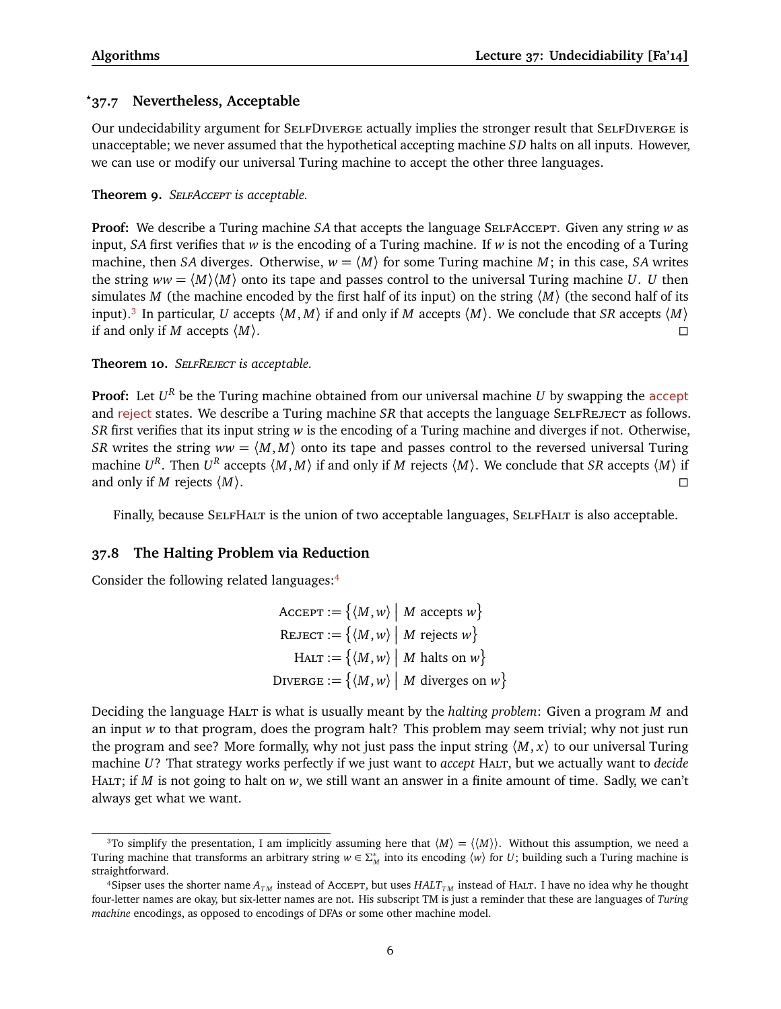#### <span id="page-5-0"></span>**37.7 Nevertheless, Acceptable** *?*

Our undecidability argument for SelfDiverge actually implies the stronger result that SelfDiverge is unacceptable; we never assumed that the hypothetical accepting machine *SD* halts on all inputs. However, we can use or modify our universal Turing machine to accept the other three languages.

#### **Theorem 9.** *SelfAccept is acceptable.*

**Proof:** We describe a Turing machine *SA* that accepts the language SELFACCEPT. Given any string *w* as input, *SA* first verifies that *w* is the encoding of a Turing machine. If *w* is not the encoding of a Turing machine, then *SA* diverges. Otherwise,  $w = \langle M \rangle$  for some Turing machine *M*; in this case, *SA* writes the string  $ww = \langle M \rangle \langle M \rangle$  onto its tape and passes control to the universal Turing machine *U*. *U* then simulates *M* (the machine encoded by the first half of its input) on the string  $\langle M \rangle$  (the second half of its input).[3](#page-5-1) In particular, *U* accepts 〈*M*, *M*〉 if and only if *M* accepts 〈*M*〉. We conclude that *SR* accepts 〈*M*〉 if and only if *M* accepts  $\langle M \rangle$ .

#### **Theorem 10.** *SelfReject is acceptable.*

**Proof:** Let  $U^R$  be the Turing machine obtained from our universal machine  $U$  by swapping the accept and reject states. We describe a Turing machine *SR* that accepts the language SELFREJECT as follows. *SR* first verifies that its input string *w* is the encoding of a Turing machine and diverges if not. Otherwise, *SR* writes the string  $ww = \langle M, M \rangle$  onto its tape and passes control to the reversed universal Turing machine  $U^R$ . Then  $U^R$  accepts  $\langle M, M \rangle$  if and only if  $M$  rejects  $\langle M \rangle$ . We conclude that  $SR$  accepts  $\langle M \rangle$  if and only if *M* rejects  $\langle M \rangle$ .

Finally, because SELFHALT is the union of two acceptable languages, SELFHALT is also acceptable.

#### **37.8 The Halting Problem via Reduction**

Consider the following related languages:[4](#page-5-2)

```
\mathrm{AcceptS} := \big\{ \langle M, w \rangle \bigm| M \text{ accepts } w \big\}\text{REJECT} := \{ \langle M, w \rangle \mid M \text{ rejects } w \}HALT := \{(M, w) \mid M \text{ halts on } w\}\text{DIVERGE} := \left\{ \langle M, w \rangle \mid M \text{ diverges on } w \right\}
```
Deciding the language Halt is what is usually meant by the *halting problem*: Given a program *M* and an input *w* to that program, does the program halt? This problem may seem trivial; why not just run the program and see? More formally, why not just pass the input string  $\langle M, x \rangle$  to our universal Turing machine *U*? That strategy works perfectly if we just want to *accept* HALT, but we actually want to *decide* HALT; if *M* is not going to halt on *w*, we still want an answer in a finite amount of time. Sadly, we can't always get what we want.

<span id="page-5-1"></span><sup>&</sup>lt;sup>3</sup>To simplify the presentation, I am implicitly assuming here that  $\langle M \rangle = \langle \langle M \rangle \rangle$ . Without this assumption, we need a Turing machine that transforms an arbitrary string  $w \in \Sigma_M^*$  into its encoding  $\langle w \rangle$  for *U*; building such a Turing machine is straightforward.

<span id="page-5-2"></span><sup>&</sup>lt;sup>4</sup>Sipser uses the shorter name  $A_{TM}$  instead of Accept, but uses  $HALT_{TM}$  instead of HALT. I have no idea why he thought four-letter names are okay, but six-letter names are not. His subscript TM is just a reminder that these are languages of *Turing machine* encodings, as opposed to encodings of DFAs or some other machine model.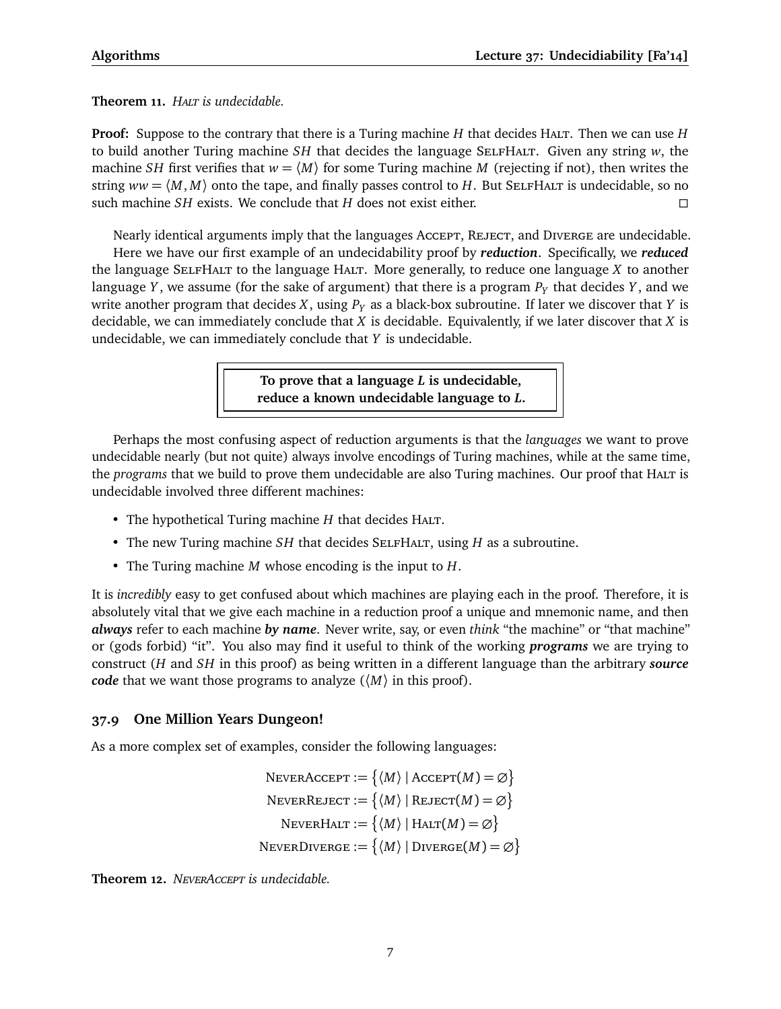**Theorem 11.** *Halt is undecidable.*

**Proof:** Suppose to the contrary that there is a Turing machine *H* that decides Halt. Then we can use *H* to build another Turing machine *SH* that decides the language SelfHalt. Given any string *w*, the machine *SH* first verifies that  $w = \langle M \rangle$  for some Turing machine *M* (rejecting if not), then writes the string  $ww = \langle M, M \rangle$  onto the tape, and finally passes control to *H*. But SELFHALT is undecidable, so no such machine *SH* exists. We conclude that *H* does not exist either.

Nearly identical arguments imply that the languages Acceptr, REJECT, and DIVERGE are undecidable. Here we have our first example of an undecidability proof by *reduction*. Specifically, we *reduced* the language SelfHalt to the language Halt. More generally, to reduce one language *X* to another language *Y* , we assume (for the sake of argument) that there is a program *P<sup>Y</sup>* that decides *Y* , and we write another program that decides *X*, using *P<sup>Y</sup>* as a black-box subroutine. If later we discover that *Y* is decidable, we can immediately conclude that *X* is decidable. Equivalently, if we later discover that *X* is undecidable, we can immediately conclude that *Y* is undecidable.

> **To prove that a language** *L* **is undecidable, reduce a known undecidable language to** *L***.**

Perhaps the most confusing aspect of reduction arguments is that the *languages* we want to prove undecidable nearly (but not quite) always involve encodings of Turing machines, while at the same time, the *programs* that we build to prove them undecidable are also Turing machines. Our proof that HALT is undecidable involved three different machines:

- The hypothetical Turing machine *H* that decides HALT.
- The new Turing machine *SH* that decides SELFHALT, using *H* as a subroutine.
- The Turing machine *M* whose encoding is the input to *H*.

It is *incredibly* easy to get confused about which machines are playing each in the proof. Therefore, it is absolutely vital that we give each machine in a reduction proof a unique and mnemonic name, and then *always* refer to each machine *by name*. Never write, say, or even *think* "the machine" or "that machine" or (gods forbid) "it". You also may find it useful to think of the working *programs* we are trying to construct (*H* and *SH* in this proof) as being written in a different language than the arbitrary *source code* that we want those programs to analyze  $(\langle M \rangle)$  in this proof).

## **37.9 One Million Years Dungeon!**

As a more complex set of examples, consider the following languages:

```
\text{NeverAccer} \texttt{r} := \big\{ \langle M \rangle \mid \text{Accer} \texttt{r} (M) = \varnothing \big\}\operatorname{NeverREJECT} := \big\{\langle M \rangle \mid \operatorname{REJECT}(M) = \varnothing\big\}\operatorname{NeverHalt}:=\big\{\langle M\rangle\mid \operatorname{Halt}(M)=\varnothing\big\}\operatorname{NeverDiverge}:=\bigl\{\langle M\rangle\mid\operatorname{Diverge}(M)=\varnothing\bigr\}
```
**Theorem 12.** *NeverAccept is undecidable.*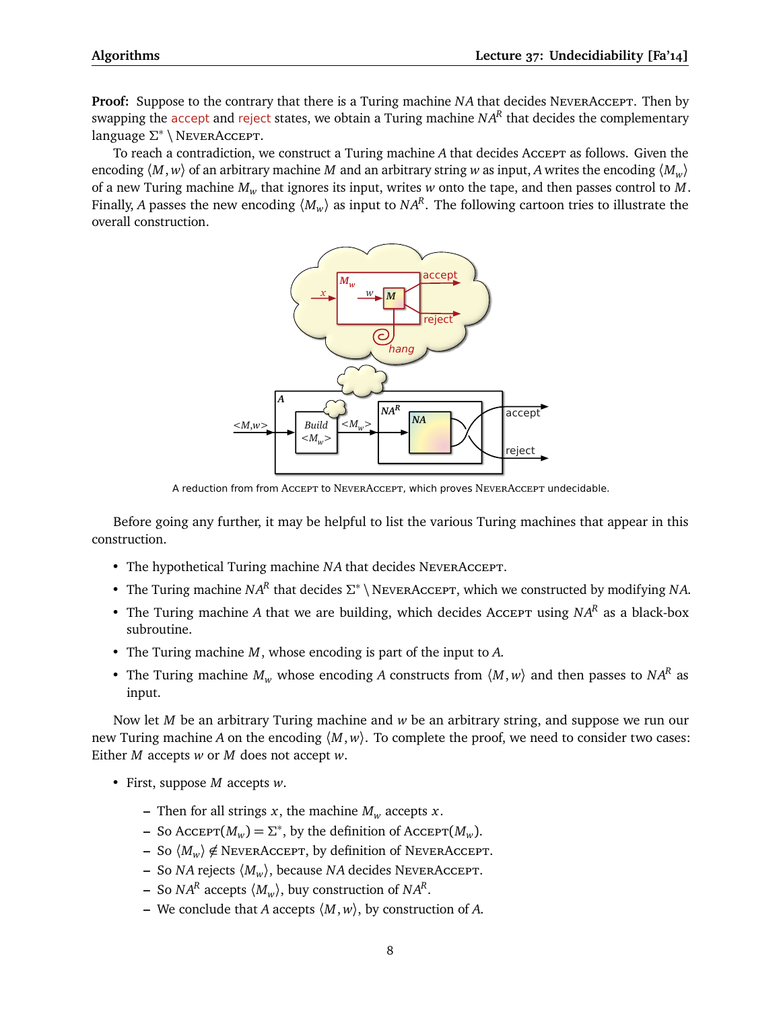**Proof:** Suppose to the contrary that there is a Turing machine *NA* that decides NeverAccept. Then by swapping the accept and reject states, we obtain a Turing machine *NA<sup>R</sup>* that decides the complementary language Σ<sup>\*</sup> \ NEVERACCEPT.

To reach a contradiction, we construct a Turing machine *A* that decides Accept as follows. Given the encoding  $\langle M, w \rangle$  of an arbitrary machine *M* and an arbitrary string *w* as input, *A* writes the encoding  $\langle M_w \rangle$ of a new Turing machine *M<sup>w</sup>* that ignores its input, writes *w* onto the tape, and then passes control to *M*. Finally, *A* passes the new encoding  $\langle M_w \rangle$  as input to  $NA^R.$  The following cartoon tries to illustrate the overall construction.



A reduction from from Accept to NeverAccept, which proves NeverAccept undecidable.

Before going any further, it may be helpful to list the various Turing machines that appear in this construction.

- The hypothetical Turing machine *NA* that decides NEVERACCEPT.
- The Turing machine *NA<sup>R</sup>* that decides Σ<sup>\*</sup> \ NEVERACCEPT, which we constructed by modifying *NA*.
- The Turing machine *A* that we are building, which decides Accept using  $NA<sup>R</sup>$  as a black-box subroutine.
- The Turing machine *M*, whose encoding is part of the input to *A*.
- The Turing machine  $M_w$  whose encoding A constructs from  $\langle M, w \rangle$  and then passes to  $NA^R$  as input.

Now let *M* be an arbitrary Turing machine and *w* be an arbitrary string, and suppose we run our new Turing machine *A* on the encoding 〈*M*, *w*〉. To complete the proof, we need to consider two cases: Either *M* accepts *w* or *M* does not accept *w*.

- First, suppose *M* accepts *w*.
	- **–** Then for all strings *x*, the machine *M<sup>w</sup>* accepts *x*.
	- $-$  So Accept $(M_w) = \Sigma^*$ , by the definition of Accept $(M_w)$ .
	- **−** So  $\langle M_w \rangle$  ∉ NeverAccept, by definition of NeverAccept.
	- **–** So *NA* rejects 〈*Mw*〉, because *NA* decides NeverAccept.
	- **–** So *NA<sup>R</sup>* accepts 〈*Mw*〉, buy construction of *NA<sup>R</sup>* .
	- **–** We conclude that *A* accepts 〈*M*, *w*〉, by construction of *A*.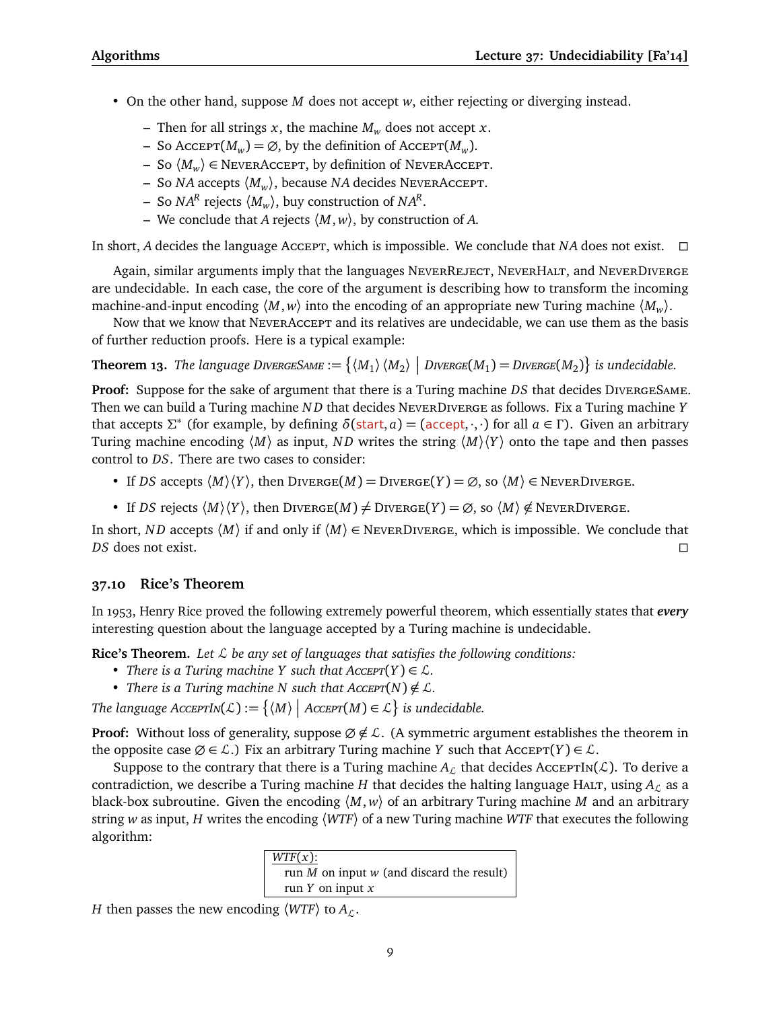- On the other hand, suppose *M* does not accept *w*, either rejecting or diverging instead.
	- **–** Then for all strings *x*, the machine  $M_w$  does not accept *x*.
	- $\sim$  So Accept $(M_w) = \emptyset$ , by the definition of Accept $(M_w)$ .
	- **–** So 〈*Mw*〉 ∈ NeverAccept, by definition of NeverAccept.
	- **–** So *NA* accepts 〈*Mw*〉, because *NA* decides NeverAccept.
	- **–** So *NA<sup>R</sup>* rejects 〈*Mw*〉, buy construction of *NA<sup>R</sup>* .
	- **–** We conclude that *A* rejects 〈*M*, *w*〉, by construction of *A*.

In short, *A* decides the language Accept, which is impossible. We conclude that *NA* does not exist.  $\square$ 

Again, similar arguments imply that the languages NEVERREJECT, NEVERHALT, and NEVERDIVERGE are undecidable. In each case, the core of the argument is describing how to transform the incoming machine-and-input encoding  $\langle M, w \rangle$  into the encoding of an appropriate new Turing machine  $\langle M_w \rangle$ .

Now that we know that NeverAccept and its relatives are undecidable, we can use them as the basis of further reduction proofs. Here is a typical example:

**Theorem 13.** The language DIVERGESAME :=  $\{(M_1), (M_2), |$  DIVERGE $(M_1)$  = DIVERGE $(M_2)\}$  is undecidable.

Proof: Suppose for the sake of argument that there is a Turing machine *DS* that decides DIVERGESAME. Then we can build a Turing machine *N D* that decides NeverDiverge as follows. Fix a Turing machine *Y* that accepts *Σ* ∗ (for example, by defining *δ*(start, *a*) = (accept,·,·) for all *a* ∈ *Γ* ). Given an arbitrary Turing machine encoding  $\langle M \rangle$  as input, *ND* writes the string  $\langle M \rangle \langle Y \rangle$  onto the tape and then passes control to *DS*. There are two cases to consider:

- If *DS* accepts  $\langle M \rangle \langle Y \rangle$ , then Diverge $(M)$  = Diverge $(Y)$  =  $\emptyset$ , so  $\langle M \rangle \in$  NeverDiverge.
- If *DS* rejects  $\langle M \rangle \langle Y \rangle$ , then DIVERGE(*M*)  $\neq$  DIVERGE(*Y*) =  $\emptyset$ , so  $\langle M \rangle \notin$  NEVERDIVERGE.

In short, *ND* accepts  $\langle M \rangle$  if and only if  $\langle M \rangle \in$  NeverDiverge, which is impossible. We conclude that *DS* does not exist. □

## **37.10 Rice's Theorem**

In 1953, Henry Rice proved the following extremely powerful theorem, which essentially states that *every* interesting question about the language accepted by a Turing machine is undecidable.

**Rice's Theorem.** Let  $\mathcal{L}$  be any set of languages that satisfies the following conditions:

- *There is a Turing machine Y such that*  $AccEPT(Y) \in \mathcal{L}$ *.*
- *There is a Turing machine N such that*  $ACCEPT(N) \notin \mathcal{L}$ *.*

The language  $\text{AccEPTIN}(\mathcal{L}) := \{ \langle M \rangle \mid \text{AccEPT}(M) \in \mathcal{L} \}$  is undecidable.

**Proof:** Without loss of generality, suppose  $\emptyset \notin \mathcal{L}$ . (A symmetric argument establishes the theorem in the opposite case  $\emptyset \in \mathcal{L}$ .) Fix an arbitrary Turing machine *Y* such that  $\text{Accept}(Y) \in \mathcal{L}$ .

Suppose to the contrary that there is a Turing machine  $A_L$  that decides AcceptIn( $\mathcal{L}$ ). To derive a contradiction, we describe a Turing machine *H* that decides the halting language HALT, using  $A_L$  as a black-box subroutine. Given the encoding  $\langle M, w \rangle$  of an arbitrary Turing machine *M* and an arbitrary string *w* as input, *H* writes the encoding 〈*WTF*〉 of a new Turing machine *WTF* that executes the following algorithm:



*H* then passes the new encoding  $\langle WTF \rangle$  to  $A_{\mathcal{L}}$ .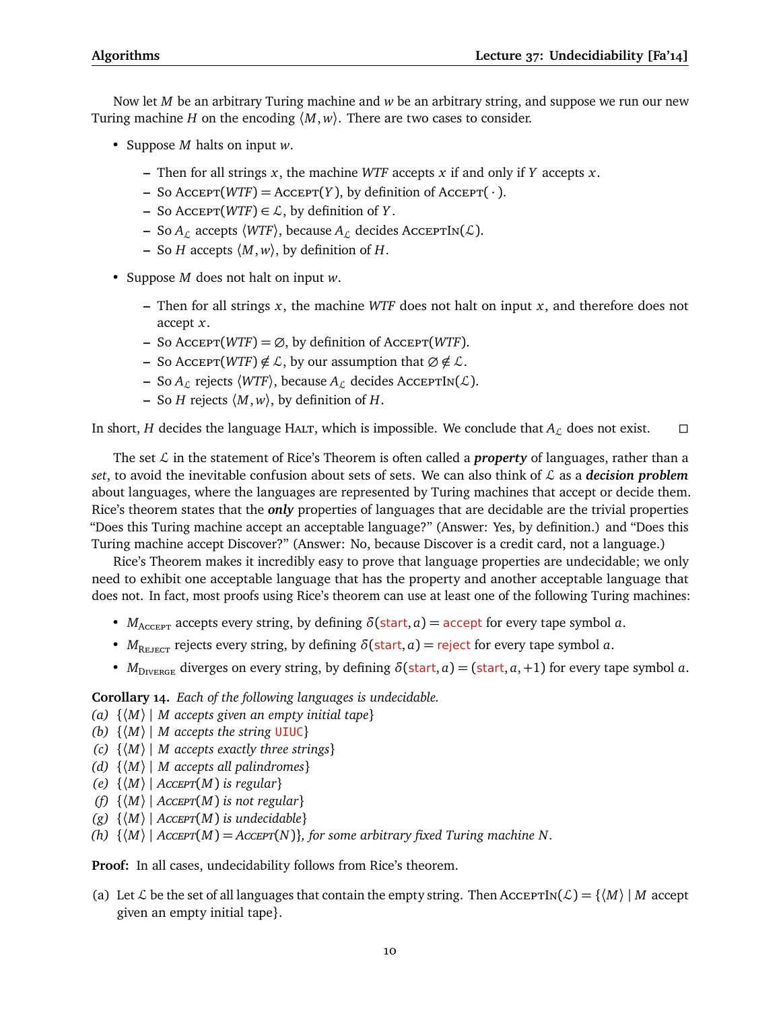Now let *M* be an arbitrary Turing machine and *w* be an arbitrary string, and suppose we run our new Turing machine *H* on the encoding  $\langle M, w \rangle$ . There are two cases to consider.

- Suppose *M* halts on input *w*.
	- **–** Then for all strings *x*, the machine *WTF* accepts *x* if and only if *Y* accepts *x*.
	- $\sim$  So Accept(*WTF*) = Accept(*Y*), by definition of Accept( $\cdot$ ).
	- **–** So Accept(*WTF*) ∈ L, by definition of *Y* .
	- **–** So  $A_L$  accepts  $\langle WTF \rangle$ , because  $A_L$  decides AcceptIn( $\mathcal{L}$ ).
	- **–** So *H* accepts 〈*M*, *w*〉, by definition of *H*.
- Suppose *M* does not halt on input *w*.
	- **–** Then for all strings *x*, the machine *WTF* does not halt on input *x*, and therefore does not accept *x*.
	- $-$  So Accept(*WTF*) =  $\varnothing$ , by definition of Accept(*WTF*).
	- **–** So Acceptr(*WTF*)  $\notin \mathcal{L}$ , by our assumption that  $\emptyset \notin \mathcal{L}$ .
	- **–** So  $A_{\mathcal{L}}$  rejects  $\langle WTF \rangle$ , because  $A_{\mathcal{L}}$  decides AcceptIn( $\mathcal{L}$ ).
	- **–** So *H* rejects 〈*M*, *w*〉, by definition of *H*.

In short, *H* decides the language HALT, which is impossible. We conclude that  $A_{\mathcal{L}}$  does not exist.  $\square$ 

The set  $\mathcal L$  in the statement of Rice's Theorem is often called a *property* of languages, rather than a *set*, to avoid the inevitable confusion about sets of sets. We can also think of  $\mathcal{L}$  as a *decision problem* about languages, where the languages are represented by Turing machines that accept or decide them. Rice's theorem states that the *only* properties of languages that are decidable are the trivial properties "Does this Turing machine accept an acceptable language?" (Answer: Yes, by definition.) and "Does this Turing machine accept Discover?" (Answer: No, because Discover is a credit card, not a language.)

Rice's Theorem makes it incredibly easy to prove that language properties are undecidable; we only need to exhibit one acceptable language that has the property and another acceptable language that does not. In fact, most proofs using Rice's theorem can use at least one of the following Turing machines:

- $M_{\text{AccEPT}}$  accepts every string, by defining  $\delta(\text{start}, a) = \text{accept}$  for every tape symbol *a*.
- $M_{\text{REJECT}}$  rejects every string, by defining  $\delta(\text{start}, a) =$  reject for every tape symbol *a*.
- *M*<sub>DIVERGE</sub> diverges on every string, by defining  $\delta$ (start, *a*) = (start, *a*, +1) for every tape symbol *a*.

**Corollary 14.** *Each of the following languages is undecidable.*

- *(a)* {〈*M*〉 | *M accepts given an empty initial tape*}
- *(b)* {〈*M*〉 | *M accepts the string* UIUC}
- *(c)* {〈*M*〉 | *M accepts exactly three strings*}
- *(d)* {〈*M*〉 | *M accepts all palindromes*}
- *(e)*  $\{ \langle M \rangle \mid AccEPT(M) \text{ is regular} \}$
- *(f)*  $\{ \langle M \rangle \mid \text{Accept}(M) \text{ is not regular} \}$
- $(g) \{ \langle M \rangle \mid AccEPT(M) \text{ is undecidable} \}$
- *(h)*  $\{\langle M \rangle |$   $\}$  *Accept*(*M*) =  $\text{Accept}(N)$ }*, for some arbitrary fixed Turing machine N.*

**Proof:** In all cases, undecidability follows from Rice's theorem.

(a) Let L be the set of all languages that contain the empty string. Then AcceptIn( $\mathcal{L}$ ) = { $\langle M \rangle$ | *M* accept given an empty initial tape}.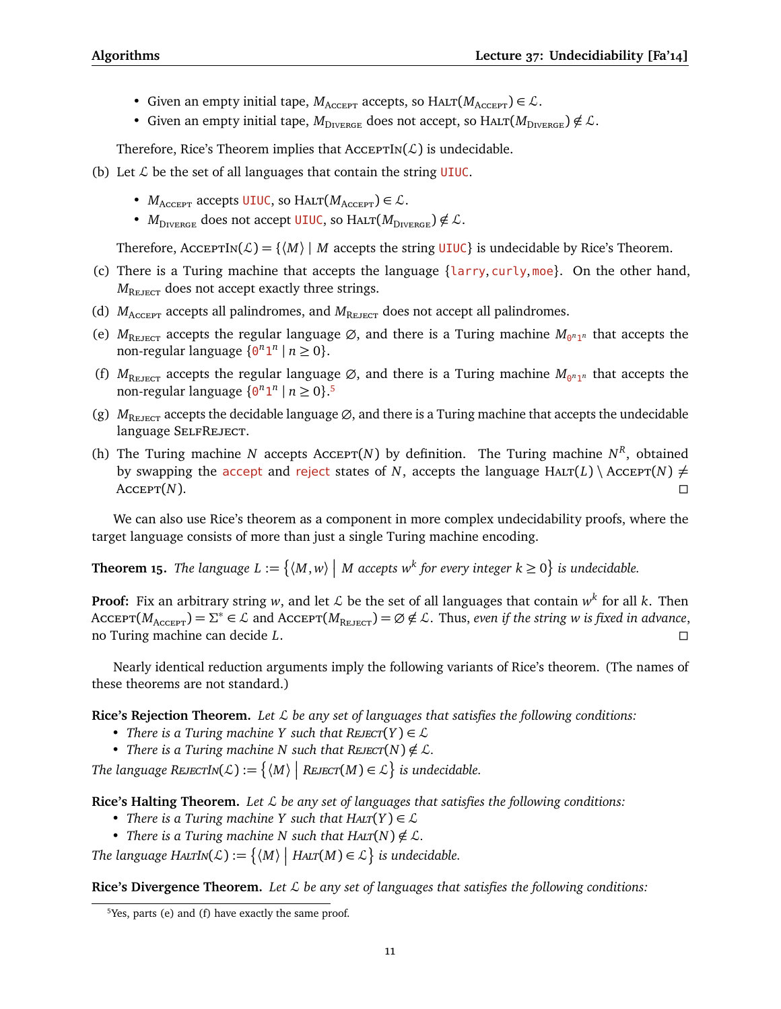- Given an empty initial tape,  $M_{\text{Accept}}$  accepts, so  $\text{HALT}(M_{\text{Accept}}) \in \mathcal{L}$ .
- Given an empty initial tape,  $M_{\text{Diverger}}$  does not accept, so  $\text{HALT}(M_{\text{Diverger}}) \notin \mathcal{L}$ .

Therefore, Rice's Theorem implies that  $\text{AccEPTIN}(\mathcal{L})$  is undecidable.

- (b) Let  $\mathcal L$  be the set of all languages that contain the string UIUC.
	- $M_{\text{AccEPT}}$  accepts UIUC, so HALT $(M_{\text{AccEPT}}) \in \mathcal{L}$ .
	- *M*<sub>DIVERGE</sub> does not accept UIUC, so HALT $(M_{\text{DIVERGE}}) \notin \mathcal{L}$ .

Therefore,  $\text{AccEPTIN}(\mathcal{L}) = \{ \langle M \rangle \mid M \text{ accepts the string UIUC} \}$  is undecidable by Rice's Theorem.

- (c) There is a Turing machine that accepts the language  $\{\text{larry}, \text{curly}, \text{mod}\}\$ . On the other hand,  $M_{\text{REJECT}}$  does not accept exactly three strings.
- (d)  $M_{\text{AccEPT}}$  accepts all palindromes, and  $M_{\text{REJECT}}$  does not accept all palindromes.
- (e)  $M_{REJECT}$  accepts the regular language  $\varnothing$ , and there is a Turing machine  $M_{\theta^n1^n}$  that accepts the non-regular language {0 *n* 1 *n* | *n* ≥ 0}.
- (f)  $M_{\text{REJECT}}$  accepts the regular language  $\varnothing$ , and there is a Turing machine  $M_{\theta^n1^n}$  that accepts the non-regular language  $\{0^n1^n \mid n \geq 0\}$ .<sup>[5](#page-10-0)</sup>
- (g) *M*<sub>REJECT</sub> accepts the decidable language ∅, and there is a Turing machine that accepts the undecidable language SELFREJECT.
- (h) The Turing machine *N* accepts Accept(*N*) by definition. The Turing machine  $N^R$ , obtained by swapping the accept and reject states of *N*, accepts the language HALT(*L*)  $\Lambda$ CCEPT(*N*)  $\neq$  $\mathsf{Accept}(N).$

We can also use Rice's theorem as a component in more complex undecidability proofs, where the target language consists of more than just a single Turing machine encoding.

**Theorem 15.** The language  $L := \{(M, w) \mid M \text{ accepts } w^k \text{ for every integer } k \ge 0\}$  is undecidable.

**Proof:** Fix an arbitrary string *w*, and let  $\mathcal L$  be the set of all languages that contain  $w^k$  for all  $k$ . Then  $\text{ACCEPT}(M_{\text{ACCEPT}}) = \Sigma^* \in \mathcal{L}$  and  $\text{ACCEPT}(M_{\text{REJECT}}) = \varnothing \notin \mathcal{L}$ . Thus, *even if the string w is fixed in advance*, no Turing machine can decide *L*.

Nearly identical reduction arguments imply the following variants of Rice's theorem. (The names of these theorems are not standard.)

**Rice's Rejection Theorem.** *Let* L *be any set of languages that satisfies the following conditions:*

- *There is a Turing machine Y such that*  $REJECT(Y) \in \mathcal{L}$
- *There is a Turing machine N such that*  $REJECT(N) \notin \mathcal{L}$ *.*

The language  $\text{REJECTIN}(\mathcal{L}) := \{ \langle M \rangle \mid \text{REJECT}(M) \in \mathcal{L} \}$  is undecidable.

**Rice's Halting Theorem.** Let  $\mathcal{L}$  be any set of languages that satisfies the following conditions:

- *There is a Turing machine Y such that*  $HAT(Y) \in \mathcal{L}$
- *There is a Turing machine N such that*  $HAT(N) \notin \mathcal{L}$ *.*

The language  $H$ ALTIN( $\mathcal{L}$ ) :=  $\{ \langle M \rangle \mid H$ ALT $(M) \in \mathcal{L} \}$  is undecidable.

**Rice's Divergence Theorem.** Let  $\mathcal{L}$  be any set of languages that satisfies the following conditions:

<span id="page-10-0"></span><sup>&</sup>lt;sup>5</sup>Yes, parts (e) and (f) have exactly the same proof.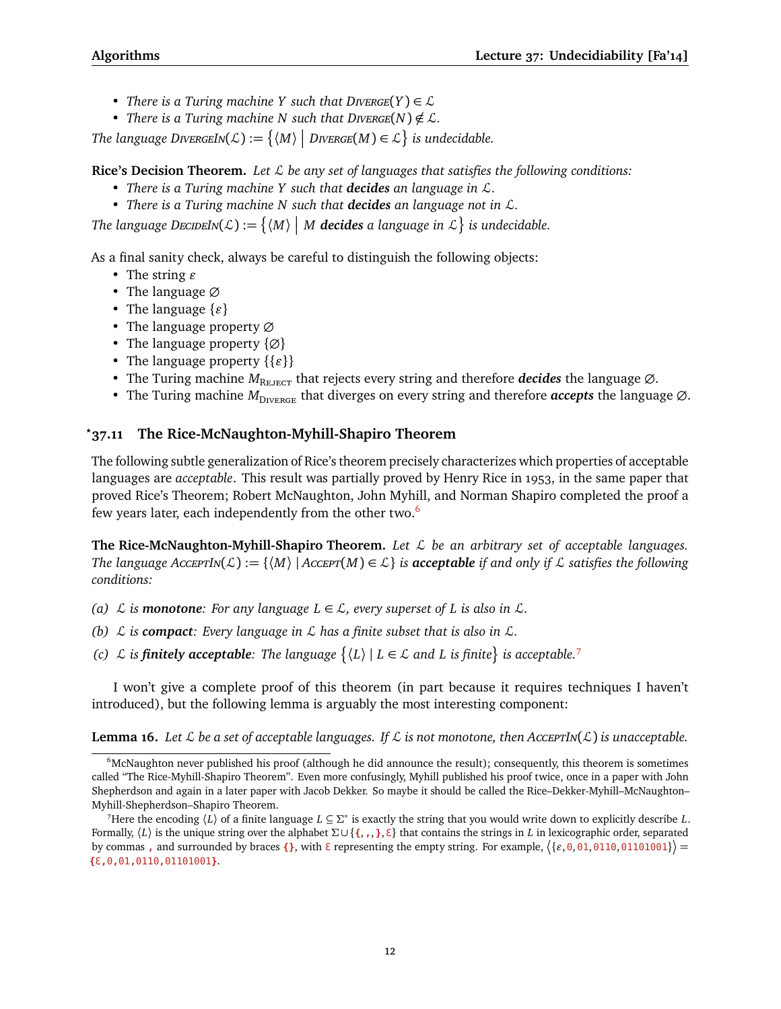• *There is a Turing machine Y such that*  $D \nvert \text{V} \text{R} \text{C}$   $(Y) \in \mathcal{L}$ 

• *There is a Turing machine N such that*  $D \nvert \text{ } D \text{ } E(N) \notin \mathcal{L}$ .

The language  $D$ *ivergeIn*( $\mathcal{L}$ ) :=  $\{ \langle M \rangle \mid D$ *iverge*( $M$ )  $\in \mathcal{L} \}$  is undecidable.

**Rice's Decision Theorem.** *Let* L *be any set of languages that satisfies the following conditions:*

- *• There is a Turing machine Y such that decides an language in* L*.*
- *• There is a Turing machine N such that decides an language not in* L*.*

The language  $D$ ECIDEIN $(\mathcal{L}) := \{ \langle M \rangle \mid M \text{ decides a language in } \mathcal{L} \}$  is undecidable.

As a final sanity check, always be careful to distinguish the following objects:

- The string  $\varepsilon$
- The language ∅
- The language  $\{\varepsilon\}$
- The language property ∅
- The language property {∅}
- The language property  $\{\{\varepsilon\}\}\$
- The Turing machine  $M_{\text{REJECT}}$  that rejects every string and therefore *decides* the language ∅.
- The Turing machine  $M_{\text{DvERGE}}$  that diverges on every string and therefore *accepts* the language  $\varnothing$ .

## *?***37.11 The Rice-McNaughton-Myhill-Shapiro Theorem**

The following subtle generalization of Rice's theorem precisely characterizes which properties of acceptable languages are *acceptable*. This result was partially proved by Henry Rice in 1953, in the same paper that proved Rice's Theorem; Robert McNaughton, John Myhill, and Norman Shapiro completed the proof a few years later, each independently from the other two. $<sup>6</sup>$  $<sup>6</sup>$  $<sup>6</sup>$ </sup>

**The Rice-McNaughton-Myhill-Shapiro Theorem.** *Let* L *be an arbitrary set of acceptable languages. The language*  $\text{AcceptIN}(\mathcal{L}) := \{ \langle M \rangle \mid \text{Accept}(M) \in \mathcal{L} \}$  *is acceptable <i>if and only if*  $\mathcal{L}$  *satisfies the following conditions:*

- *(a)*  $\mathcal{L}$  *is monotone:* For any language  $L \in \mathcal{L}$ , every superset of  $L$  *is also in*  $\mathcal{L}$ *.*
- *(b)*  $\mathcal L$  *is compact: Every language in*  $\mathcal L$  *has a finite subset that is also in*  $\mathcal L$ *.*
- *(c)*  $\mathcal{L}$  *is finitely acceptable: The language*  $\{(L) | L \in \mathcal{L} \text{ and } L \text{ is finite}\}\$ is acceptable.<sup>[7](#page-11-1)</sup>

I won't give a complete proof of this theorem (in part because it requires techniques I haven't introduced), but the following lemma is arguably the most interesting component:

**Lemma 16.** Let  $\mathcal{L}$  be a set of acceptable languages. If  $\mathcal{L}$  is not monotone, then  $\text{Accept}(L)$  is unacceptable.

<span id="page-11-0"></span> $6$ McNaughton never published his proof (although he did announce the result); consequently, this theorem is sometimes called "The Rice-Myhill-Shapiro Theorem". Even more confusingly, Myhill published his proof twice, once in a paper with John Shepherdson and again in a later paper with Jacob Dekker. So maybe it should be called the Rice–Dekker-Myhill–McNaughton– Myhill-Shepherdson–Shapiro Theorem.

<span id="page-11-1"></span><sup>&</sup>lt;sup>7</sup>Here the encoding  $\langle L \rangle$  of a finite language  $L \subseteq \Sigma^*$  is exactly the string that you would write down to explicitly describe *L*. Formally, 〈*L*〉 is the unique string over the alphabet *Σ* ∪ {**{**, **,**, **}**, <sup>3</sup>} that contains the strings in *L* in lexicographic order, separated by commas , and surrounded by braces {}, with  $\varepsilon$  representing the empty string. For example,  $\langle \{ \varepsilon,$  0, 01, 0110, 01101001} $\rangle$  = **{** <sup>3</sup>**,**0**,**01**,**0110**,**01101001**}**.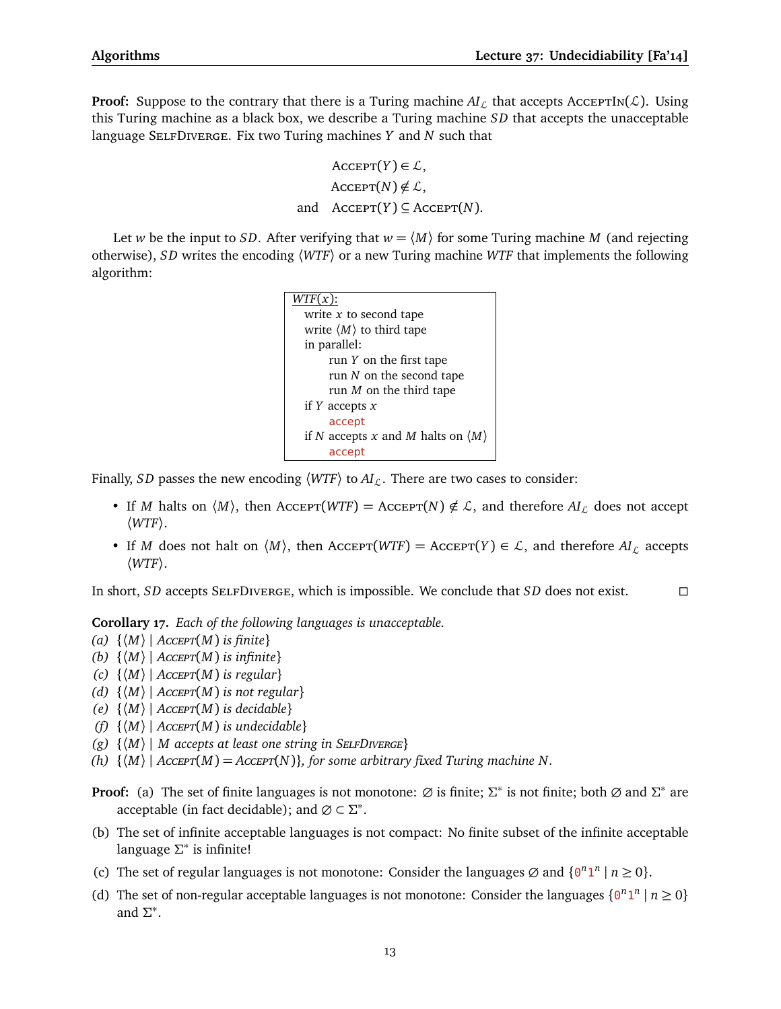**Proof:** Suppose to the contrary that there is a Turing machine  $AI_{\mathcal{L}}$  that accepts AcceptIn( $\mathcal{L}$ ). Using this Turing machine as a black box, we describe a Turing machine *SD* that accepts the unacceptable language SelfDiverge. Fix two Turing machines *Y* and *N* such that

> $ACCEPT(Y) \in \mathcal{L}$ ,  $ACCEPT(N) \notin \mathcal{L}$ , and  $\text{ACCEPT}(Y) \subseteq \text{ACCEPT}(N)$ .

Let *w* be the input to *SD*. After verifying that  $w = \langle M \rangle$  for some Turing machine *M* (and rejecting otherwise), *SD* writes the encoding 〈*WTF*〉 or a new Turing machine *WTF* that implements the following algorithm:

| $WTF(x)$ :                                        |
|---------------------------------------------------|
| write $x$ to second tape                          |
| write $\langle M \rangle$ to third tape           |
| in parallel:                                      |
| run Y on the first tape                           |
| run $N$ on the second tape                        |
| run $M$ on the third tape                         |
| if $Y$ accepts $x$                                |
| accept                                            |
| if N accepts x and M halts on $\langle M \rangle$ |
| accept                                            |

Finally, *SD* passes the new encoding  $\langle WTF \rangle$  to  $AI<sub>L</sub>$ . There are two cases to consider:

- If *M* halts on  $\langle M \rangle$ , then Accept(*WTF*) = Accept(*N*)  $\notin \mathcal{L}$ , and therefore  $AI_{\mathcal{L}}$  does not accept  $\langle WTF\rangle$ .
- If *M* does not halt on  $\langle M \rangle$ , then Accept(*WTF*) = Accept(*Y*)  $\in \mathcal{L}$ , and therefore  $AI_{\mathcal{L}}$  accepts  $\langle WTF\rangle$ .

In short, *SD* accepts SELFDIVERGE, which is impossible. We conclude that *SD* does not exist.

**Corollary 17.** *Each of the following languages is unacceptable.*

- $(a) \{ \langle M \rangle \mid AccEPT(M) \text{ is finite} \}$
- *(b)*  $\{\langle M \rangle |$  *Accept*(*M*) *is infinite*}
- *(c)*  $\{ \langle M \rangle \mid AccEPT(M) \text{ is regular} \}$
- *(d)*  $\{ \langle M \rangle \mid AccEPT(M) \text{ is not regular} \}$
- $(e) \{ \langle M \rangle \mid AccEPT(M) \text{ is decidable} \}$
- *(f)* {〈*M*〉 | *Accept*(*M*) *is undecidable*}
- *(g)* {〈*M*〉 | *M accepts at least one string in SelfDiverge*}
- *(h)*  $\{\langle M \rangle |$   $\}$  *Accept*(*M*) =  $\angle$  *Accept*(*N*)}*, for some arbitrary fixed Turing machine N.*
- **Proof:** (a) The set of finite languages is not monotone: ∅ is finite; Σ<sup>\*</sup> is not finite; both ∅ and Σ<sup>\*</sup> are acceptable (in fact decidable); and  $Ø ⊂ Σ<sup>*</sup>$ .
- (b) The set of infinite acceptable languages is not compact: No finite subset of the infinite acceptable language *Σ* ∗ is infinite!
- (c) The set of regular languages is not monotone: Consider the languages  $\emptyset$  and  $\{0^n1^n \mid n \ge 0\}$ .
- (d) The set of non-regular acceptable languages is not monotone: Consider the languages  $\{0^n 1^n \mid n \ge 0\}$ and *Σ* ∗ .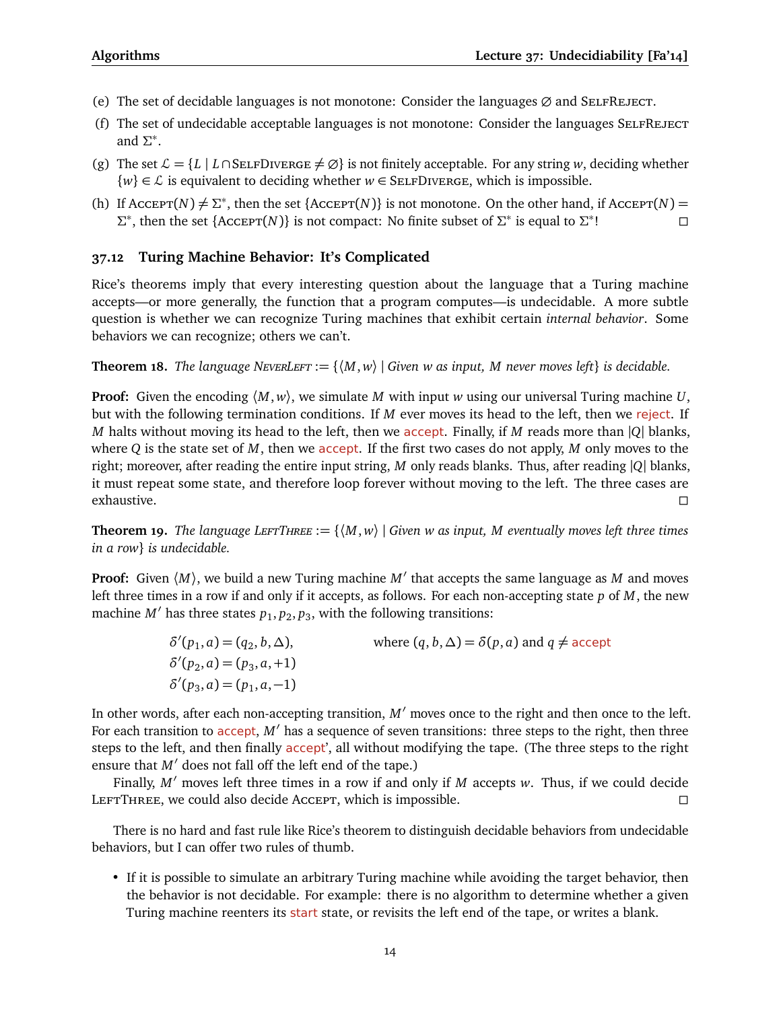- (e) The set of decidable languages is not monotone: Consider the languages  $\varnothing$  and SELFREJECT.
- (f) The set of undecidable acceptable languages is not monotone: Consider the languages  $SE_{LF}$ REJECT and *Σ* ∗ .
- (g) The set  $\mathcal{L} = \{L \mid L \cap \text{SELFDIVERGE} \neq \emptyset\}$  is not finitely acceptable. For any string *w*, deciding whether  ${w}$  ∈  $\mathcal{L}$  is equivalent to deciding whether  $w$  ∈ SELFDIVERGE, which is impossible.
- (h) If  $\text{ACCEPT}(N) \neq \Sigma^*$ , then the set  $\{\text{ACCEPT}(N)\}$  is not monotone. On the other hand, if  $\text{ACCEPT}(N)$  =  $\Sigma^*$ , then the set {Accept(*N*)} is not compact: No finite subset of  $\Sigma^*$  is equal to  $\Sigma^*$  $\Box$

## **37.12 Turing Machine Behavior: It's Complicated**

Rice's theorems imply that every interesting question about the language that a Turing machine accepts—or more generally, the function that a program computes—is undecidable. A more subtle question is whether we can recognize Turing machines that exhibit certain *internal behavior*. Some behaviors we can recognize; others we can't.

**Theorem 18.** *The language NeverLeft* :=  $\{(M, w) | Given w as input, M never moves left\} is decidable.$ 

**Proof:** Given the encoding 〈*M*, *w*〉, we simulate *M* with input *w* using our universal Turing machine *U*, but with the following termination conditions. If *M* ever moves its head to the left, then we reject. If *M* halts without moving its head to the left, then we accept. Finally, if *M* reads more than |*Q*| blanks, where *Q* is the state set of *M*, then we accept. If the first two cases do not apply, *M* only moves to the right; moreover, after reading the entire input string, *M* only reads blanks. Thus, after reading |*Q*| blanks, it must repeat some state, and therefore loop forever without moving to the left. The three cases are exhaustive.

**Theorem 19.** *The language LEFTTHREE* :=  $\{(M, w) | Given w as input, M eventually moves left three times\}$ *in a row*} *is undecidable.*

**Proof:** Given  $\langle M \rangle$ , we build a new Turing machine  $M'$  that accepts the same language as *M* and moves left three times in a row if and only if it accepts, as follows. For each non-accepting state *p* of *M*, the new machine  $M'$  has three states  $p_1, p_2, p_3$ , with the following transitions:

> $\delta'(p_1, a) = (q_2)$ where  $(q, b, \Delta) = \delta(p, a)$  and  $q \neq$  accept  $\delta'(p_2, a) = (p_3, a, +1)$  $\delta'(p_3, a) = (p_1, a, -1)$

In other words, after each non-accepting transition, *M'* moves once to the right and then once to the left. For each transition to accept,  $M'$  has a sequence of seven transitions: three steps to the right, then three steps to the left, and then finally accept', all without modifying the tape. (The three steps to the right ensure that  $M'$  does not fall off the left end of the tape.)

Finally, *M*<sup>0</sup> moves left three times in a row if and only if *M* accepts *w*. Thus, if we could decide LEFTTHREE, we could also decide Accept, which is impossible.  $\Box$ 

There is no hard and fast rule like Rice's theorem to distinguish decidable behaviors from undecidable behaviors, but I can offer two rules of thumb.

• If it is possible to simulate an arbitrary Turing machine while avoiding the target behavior, then the behavior is not decidable. For example: there is no algorithm to determine whether a given Turing machine reenters its start state, or revisits the left end of the tape, or writes a blank.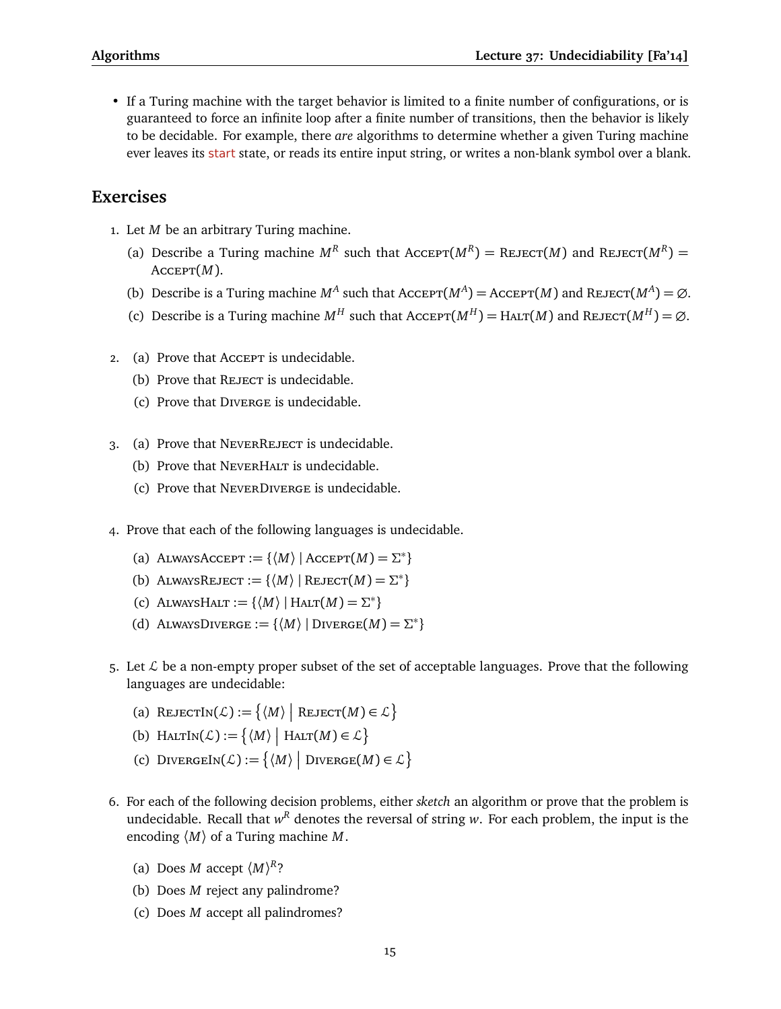• If a Turing machine with the target behavior is limited to a finite number of configurations, or is guaranteed to force an infinite loop after a finite number of transitions, then the behavior is likely to be decidable. For example, there *are* algorithms to determine whether a given Turing machine ever leaves its start state, or reads its entire input string, or writes a non-blank symbol over a blank.

# **Exercises**

- 1. Let *M* be an arbitrary Turing machine.
	- (a) Describe a Turing machine  $M^R$  such that Accept $(M^R)$  = Reject $(M^R)$  and Reject $(M^R)$  =  $ACCEPT(M)$ .
	- (b) Describe is a Turing machine  $M^A$  such that Accept( $M^A$ ) = Accept( $M$ ) and Reject( $M^A$ ) =  $\emptyset$ .
	- (c) Describe is a Turing machine  $M^H$  such that Accept  $(M^H)$  = HALT $(M)$  and REJECT $(M^H)$  =  $\emptyset$ .
- 2. (a) Prove that Accept is undecidable.
	- (b) Prove that REJECT is undecidable.
	- (c) Prove that Diverge is undecidable.
- 3. (a) Prove that NEVERREJECT is undecidable.
	- (b) Prove that NEVERHALT is undecidable.
	- (c) Prove that NeverDiverge is undecidable.
- 4. Prove that each of the following languages is undecidable.
	- (a) ALWAYSACCEPT :=  $\{ \langle M \rangle \mid \text{Accept}(M) = \Sigma^* \}$
	- (b) ALWAYSREJECT :=  $\{ \langle M \rangle \mid \text{REJECT}(M) = \Sigma^* \}$
	- (c) ALWAYSHALT :=  $\{ \langle M \rangle | \text{HALT}(M) = \Sigma^* \}$
	- (d) ALWAYSDIVERGE :=  $\{ \langle M \rangle \mid \text{DIVERGE}(M) = \Sigma^* \}$
- 5. Let  $\mathcal L$  be a non-empty proper subset of the set of acceptable languages. Prove that the following languages are undecidable:
	- (a) REJECTIN( $\mathcal{L}$ ) := { $\{M\}$  REJECT $(M) \in \mathcal{L}$ }
	- (b)  $\text{HALTN}(\mathcal{L}) := \{ \langle M \rangle \mid \text{HALT}(M) \in \mathcal{L} \}$
	- (c) DIVERGEIN $(\mathcal{L}) := \{ \langle M \rangle \mid \text{DIVERGE}(M) \in \mathcal{L} \}$
- 6. For each of the following decision problems, either *sketch* an algorithm or prove that the problem is undecidable. Recall that  $w<sup>R</sup>$  denotes the reversal of string *w*. For each problem, the input is the encoding 〈*M*〉 of a Turing machine *M*.
	- (a) Does *M* accept  $\langle M \rangle^R$ ?
	- (b) Does *M* reject any palindrome?
	- (c) Does *M* accept all palindromes?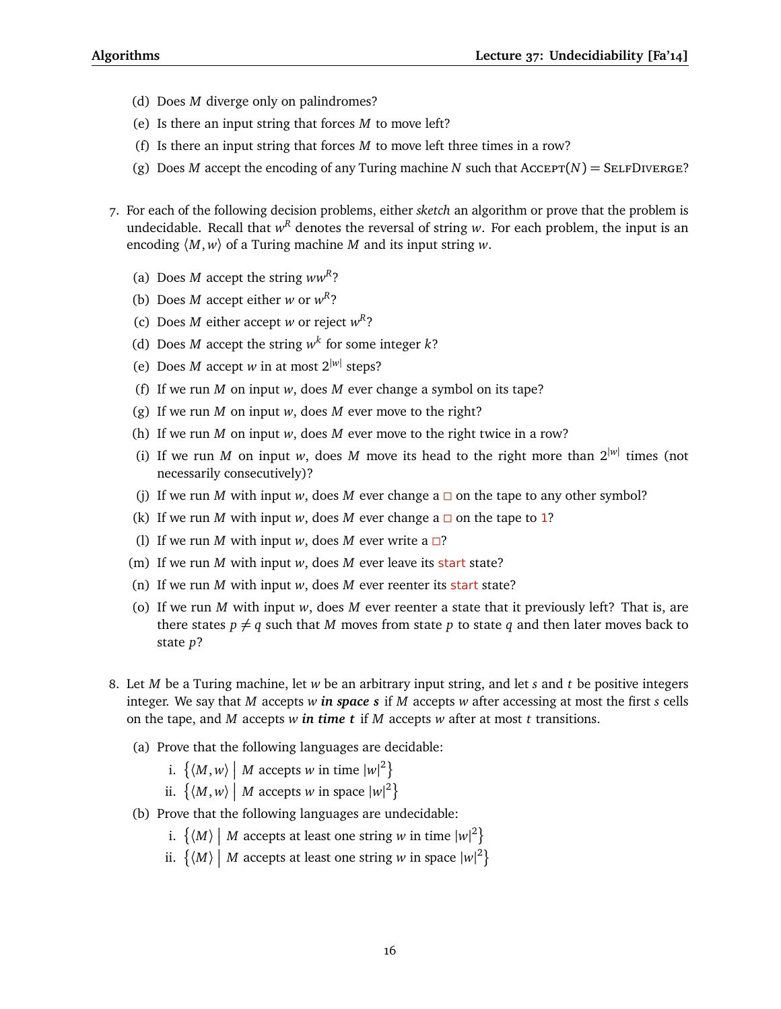- (d) Does *M* diverge only on palindromes?
- (e) Is there an input string that forces *M* to move left?
- (f) Is there an input string that forces *M* to move left three times in a row?
- (g) Does *M* accept the encoding of any Turing machine *N* such that  $\text{AccEPT}(N) = \text{SelEDIVERGE?}$
- 7. For each of the following decision problems, either *sketch* an algorithm or prove that the problem is undecidable. Recall that  $w<sup>R</sup>$  denotes the reversal of string *w*. For each problem, the input is an encoding 〈*M*, *w*〉 of a Turing machine *M* and its input string *w*.
	- (a) Does *M* accept the string  $ww^R$ ?
	- (b) Does *M* accept either *w* or  $w^R$ ?
	- (c) Does *M* either accept *w* or reject  $w^R$ ?
	- (d) Does *M* accept the string  $w<sup>k</sup>$  for some integer  $k$ ?
	- (e) Does *M* accept *w* in at most  $2^{|w|}$  steps?
	- (f) If we run *M* on input *w*, does *M* ever change a symbol on its tape?
	- (g) If we run *M* on input *w*, does *M* ever move to the right?
	- (h) If we run *M* on input *w*, does *M* ever move to the right twice in a row?
	- (i) If we run *M* on input *w*, does *M* move its head to the right more than  $2^{|w|}$  times (not necessarily consecutively)?
	- (j) If we run *M* with input *w*, does *M* ever change a  $\Box$  on the tape to any other symbol?
	- (k) If we run *M* with input *w*, does *M* ever change a  $\Box$  on the tape to 1?
	- (l) If we run *M* with input *w*, does *M* ever write a  $\Box$ ?
	- (m) If we run *M* with input *w*, does *M* ever leave its start state?
	- (n) If we run *M* with input *w*, does *M* ever reenter its start state?
	- (o) If we run *M* with input *w*, does *M* ever reenter a state that it previously left? That is, are there states  $p \neq q$  such that *M* moves from state *p* to state *q* and then later moves back to state *p*?
- 8. Let *M* be a Turing machine, let *w* be an arbitrary input string, and let *s* and *t* be positive integers integer. We say that *M* accepts *w in space s* if *M* accepts *w* after accessing at most the first *s* cells on the tape, and *M* accepts *w in time t* if *M* accepts *w* after at most *t* transitions.
	- (a) Prove that the following languages are decidable:
		- i.  $\left\{ \langle M, w \rangle \mid M \text{ accepts } w \text{ in time } |w|^2 \right\}$
		- ii.  $\left\{ \langle M, w \rangle \mid M \text{ accepts } w \text{ in space } |w|^2 \right\}$
	- (b) Prove that the following languages are undecidable:
		- i.  $\left\{ \left\langle M \right\rangle \ \middle| \ M \text{ accepts at least one string } w \text{ in time } |w|^2 \right\}$
		- ii.  $\left\{ \left\langle M \right\rangle \ \middle| \ M \text{ accepts at least one string } w \text{ in space } |w|^2 \right\}$